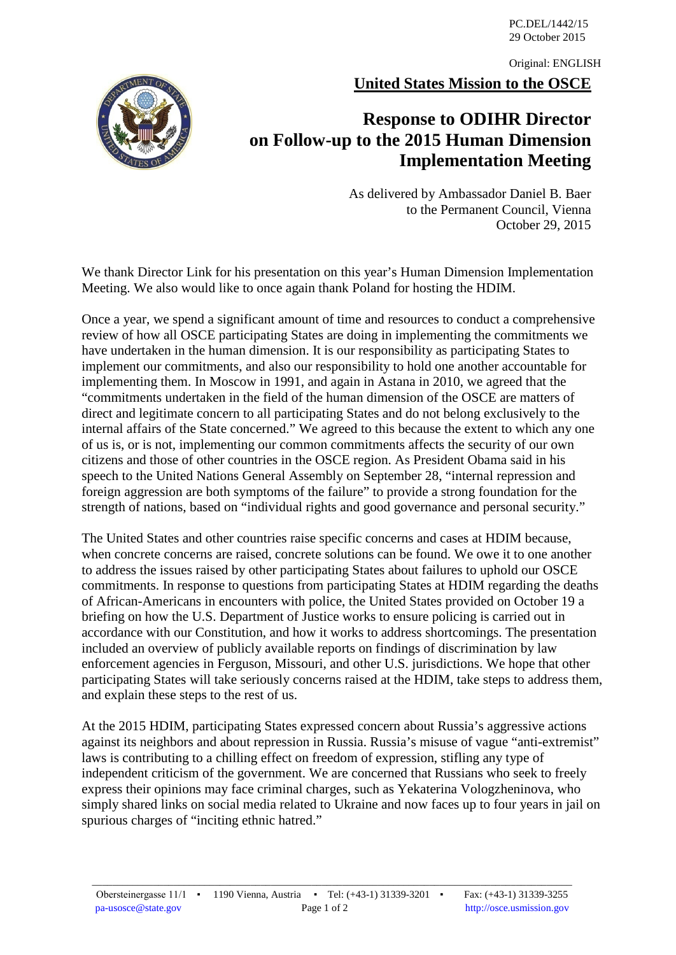PC.DEL/1442/15 29 October 2015

**United States Mission to the OSCE** Original: ENGLISH

## **Response to ODIHR Director on Follow-up to the 2015 Human Dimension Implementation Meeting**

As delivered by Ambassador Daniel B. Baer to the Permanent Council, Vienna October 29, 2015

We thank Director Link for his presentation on this year's Human Dimension Implementation Meeting. We also would like to once again thank Poland for hosting the HDIM.

Once a year, we spend a significant amount of time and resources to conduct a comprehensive review of how all OSCE participating States are doing in implementing the commitments we have undertaken in the human dimension. It is our responsibility as participating States to implement our commitments, and also our responsibility to hold one another accountable for implementing them. In Moscow in 1991, and again in Astana in 2010, we agreed that the "commitments undertaken in the field of the human dimension of the OSCE are matters of direct and legitimate concern to all participating States and do not belong exclusively to the internal affairs of the State concerned." We agreed to this because the extent to which any one of us is, or is not, implementing our common commitments affects the security of our own citizens and those of other countries in the OSCE region. As President Obama said in his speech to the United Nations General Assembly on September 28, "internal repression and foreign aggression are both symptoms of the failure" to provide a strong foundation for the strength of nations, based on "individual rights and good governance and personal security."

The United States and other countries raise specific concerns and cases at HDIM because, when concrete concerns are raised, concrete solutions can be found. We owe it to one another to address the issues raised by other participating States about failures to uphold our OSCE commitments. In response to questions from participating States at HDIM regarding the deaths of African-Americans in encounters with police, the United States provided on October 19 a briefing on how the U.S. Department of Justice works to ensure policing is carried out in accordance with our Constitution, and how it works to address shortcomings. The presentation included an overview of publicly available reports on findings of discrimination by law enforcement agencies in Ferguson, Missouri, and other U.S. jurisdictions. We hope that other participating States will take seriously concerns raised at the HDIM, take steps to address them, and explain these steps to the rest of us.

At the 2015 HDIM, participating States expressed concern about Russia's aggressive actions against its neighbors and about repression in Russia. Russia's misuse of vague "anti-extremist" laws is contributing to a chilling effect on freedom of expression, stifling any type of independent criticism of the government. We are concerned that Russians who seek to freely express their opinions may face criminal charges, such as Yekaterina Vologzheninova, who simply shared links on social media related to Ukraine and now faces up to four years in jail on spurious charges of "inciting ethnic hatred."